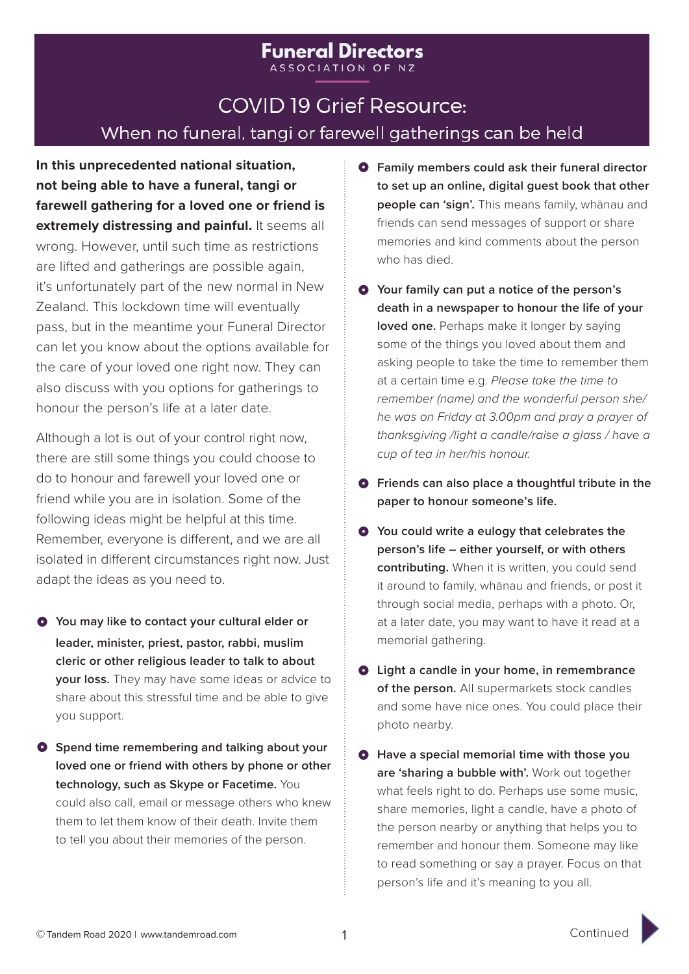# **COVID 19 Grief Resource:** When no funeral, tangi or farewell gatherings can be held

**Funeral Directors** ASSOCIATION OF NZ

**In this unprecedented national situation, not being able to have a funeral, tangi or farewell gathering for a loved one or friend is extremely distressing and painful.** It seems all wrong. However, until such time as restrictions are lifted and gatherings are possible again, it's unfortunately part of the new normal in New Zealand. This lockdown time will eventually pass, but in the meantime your Funeral Director can let you know about the options available for the care of your loved one right now. They can also discuss with you options for gatherings to honour the person's life at a later date.

Although a lot is out of your control right now, there are still some things you could choose to do to honour and farewell your loved one or friend while you are in isolation. Some of the following ideas might be helpful at this time. Remember, everyone is different, and we are all isolated in different circumstances right now. Just adapt the ideas as you need to.

- $\bullet$  You may like to contact your cultural elder or **leader, minister, priest, pastor, rabbi, muslim cleric or other religious leader to talk to about your loss.** They may have some ideas or advice to share about this stressful time and be able to give you support.
- $\bullet$  Spend time remembering and talking about your **loved one or friend with others by phone or other technology, such as Skype or Facetime.** You could also call, email or message others who knew them to let them know of their death. Invite them to tell you about their memories of the person.
- $\bullet$  Family members could ask their funeral director **to set up an online, digital guest book that other people can 'sign'.** This means family, whānau and friends can send messages of support or share memories and kind comments about the person who has died.
- $\bullet$  Your family can put a notice of the person's **death in a newspaper to honour the life of your loved one.** Perhaps make it longer by saying some of the things you loved about them and asking people to take the time to remember them at a certain time e.g. *Please take the time to remember (name) and the wonderful person she/ he was on Friday at 3.00pm and pray a prayer of thanksgiving /light a candle/raise a glass / have a cup of tea in her/his honour.*
- $\bullet$  Friends can also place a thoughtful tribute in the **paper to honour someone's life.**
- $\bullet$  You could write a eulogy that celebrates the **person's life – either yourself, or with others contributing.** When it is written, you could send it around to family, whānau and friends, or post it through social media, perhaps with a photo. Or, at a later date, you may want to have it read at a memorial gathering.
- $\bullet$  Light a candle in your home, in remembrance **of the person.** All supermarkets stock candles and some have nice ones. You could place their photo nearby.
- $\bullet$  Have a special memorial time with those you **are 'sharing a bubble with'.** Work out together what feels right to do. Perhaps use some music, share memories, light a candle, have a photo of the person nearby or anything that helps you to remember and honour them. Someone may like to read something or say a prayer. Focus on that person's life and it's meaning to you all.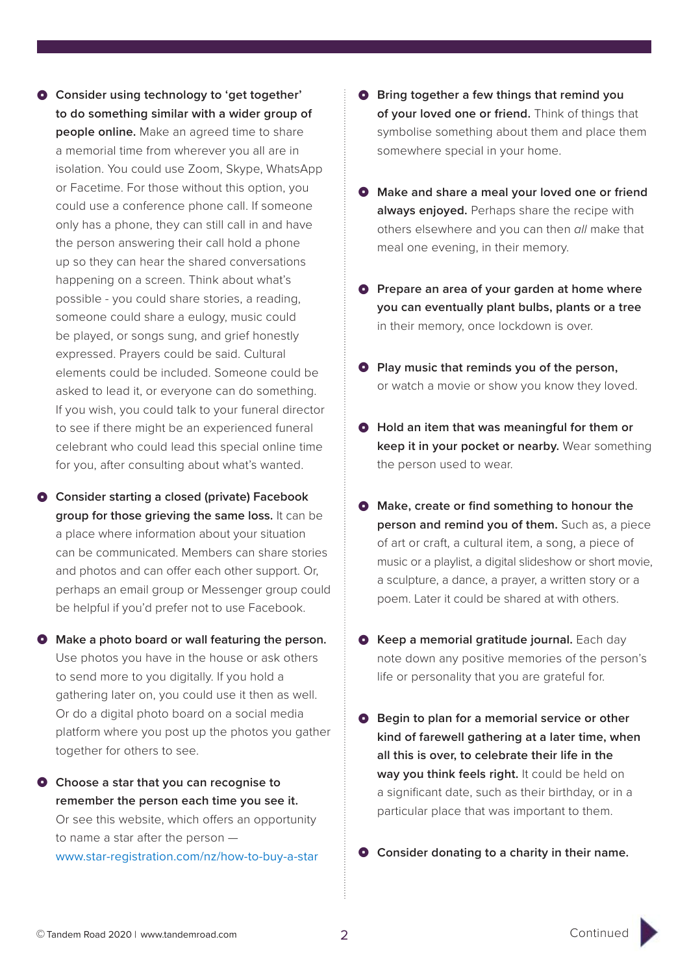- $\bullet$  Consider using technology to 'get together' **to do something similar with a wider group of people online.** Make an agreed time to share a memorial time from wherever you all are in isolation. You could use Zoom, Skype, WhatsApp or Facetime. For those without this option, you could use a conference phone call. If someone only has a phone, they can still call in and have the person answering their call hold a phone up so they can hear the shared conversations happening on a screen. Think about what's possible - you could share stories, a reading, someone could share a eulogy, music could be played, or songs sung, and grief honestly expressed. Prayers could be said. Cultural elements could be included. Someone could be asked to lead it, or everyone can do something. If you wish, you could talk to your funeral director to see if there might be an experienced funeral celebrant who could lead this special online time for you, after consulting about what's wanted.
- $\bullet$  Consider starting a closed (private) Facebook **group for those grieving the same loss.** It can be a place where information about your situation can be communicated. Members can share stories and photos and can offer each other support. Or, perhaps an email group or Messenger group could be helpful if you'd prefer not to use Facebook.
- $\bullet$  Make a photo board or wall featuring the person. Use photos you have in the house or ask others to send more to you digitally. If you hold a gathering later on, you could use it then as well. Or do a digital photo board on a social media platform where you post up the photos you gather together for others to see.
- $\bullet$  Choose a star that you can recognise to **remember the person each time you see it.** Or see this website, which offers an opportunity to name a star after the person www.star-registration.com/nz/how-to-buy-a-star
- $\bullet$  Bring together a few things that remind you **of your loved one or friend.** Think of things that symbolise something about them and place them somewhere special in your home.
- $\bullet$  Make and share a meal your loved one or friend **always enjoyed.** Perhaps share the recipe with others elsewhere and you can then *all* make that meal one evening, in their memory.
- **P** Prepare an area of your garden at home where **you can eventually plant bulbs, plants or a tree** in their memory, once lockdown is over.
- **Play music that reminds you of the person.** or watch a movie or show you know they loved.
- $\bullet$  Hold an item that was meaningful for them or **keep it in your pocket or nearby.** Wear something the person used to wear.
- $\bullet$  Make, create or find something to honour the **person and remind you of them.** Such as, a piece of art or craft, a cultural item, a song, a piece of music or a playlist, a digital slideshow or short movie, a sculpture, a dance, a prayer, a written story or a poem. Later it could be shared at with others.
- $\bullet$  Keep a memorial gratitude journal. Each day note down any positive memories of the person's life or personality that you are grateful for.
- $\bullet$  Begin to plan for a memorial service or other **kind of farewell gathering at a later time, when all this is over, to celebrate their life in the way you think feels right.** It could be held on a significant date, such as their birthday, or in a particular place that was important to them.
- **Q** Consider donating to a charity in their name.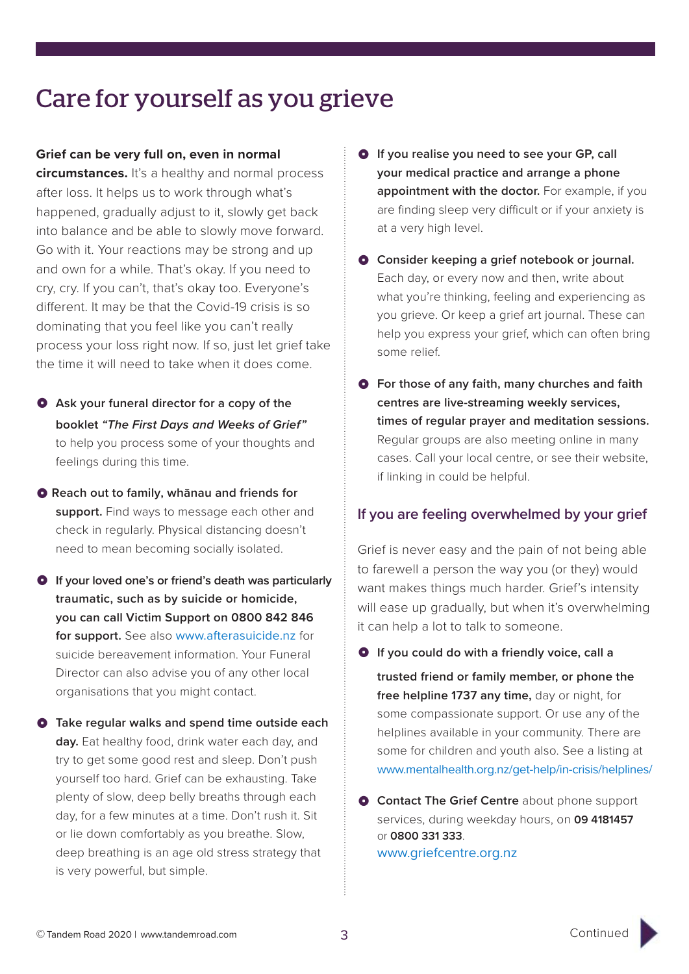## Care for yourself as you grieve

### **Grief can be very full on, even in normal**

**circumstances.** It's a healthy and normal process after loss. It helps us to work through what's happened, gradually adjust to it, slowly get back into balance and be able to slowly move forward. Go with it. Your reactions may be strong and up and own for a while. That's okay. If you need to cry, cry. If you can't, that's okay too. Everyone's different. It may be that the Covid-19 crisis is so dominating that you feel like you can't really process your loss right now. If so, just let grief take the time it will need to take when it does come.

- $\bullet$  Ask your funeral director for a copy of the **booklet** *"The First Days and Weeks of Grief"* to help you process some of your thoughts and feelings during this time.
- $\bullet$  Reach out to family, whānau and friends for **support.** Find ways to message each other and check in regularly. Physical distancing doesn't need to mean becoming socially isolated.
- $\bullet$  If your loved one's or friend's death was particularly **traumatic, such as by suicide or homicide, you can call Victim Support on 0800 842 846 for support.** See also www.afterasuicide.nz for suicide bereavement information. Your Funeral Director can also advise you of any other local organisations that you might contact.
- **O** Take regular walks and spend time outside each **day.** Eat healthy food, drink water each day, and try to get some good rest and sleep. Don't push yourself too hard. Grief can be exhausting. Take plenty of slow, deep belly breaths through each day, for a few minutes at a time. Don't rush it. Sit or lie down comfortably as you breathe. Slow, deep breathing is an age old stress strategy that is very powerful, but simple.
- **O** If you realise you need to see your GP, call **your medical practice and arrange a phone appointment with the doctor.** For example, if you are finding sleep very difficult or if your anxiety is at a very high level.
- $\bullet$  Consider keeping a grief notebook or journal. Each day, or every now and then, write about what you're thinking, feeling and experiencing as you grieve. Or keep a grief art journal. These can help you express your grief, which can often bring some relief.
- $\bullet$  For those of any faith, many churches and faith **centres are live-streaming weekly services, times of regular prayer and meditation sessions.** Regular groups are also meeting online in many cases. Call your local centre, or see their website, if linking in could be helpful.

### **If you are feeling overwhelmed by your grief**

Grief is never easy and the pain of not being able to farewell a person the way you (or they) would want makes things much harder. Grief's intensity will ease up gradually, but when it's overwhelming it can help a lot to talk to someone.

- $\bullet$  If you could do with a friendly voice, call a **trusted friend or family member, or phone the free helpline 1737 any time,** day or night, for some compassionate support. Or use any of the helplines available in your community. There are some for children and youth also. See a listing at www.mentalhealth.org.nz/get-help/in-crisis/helplines/
- **O** Contact The Grief Centre about phone support services, during weekday hours, on **09 4181457** or **0800 331 333**. www.griefcentre.org.nz